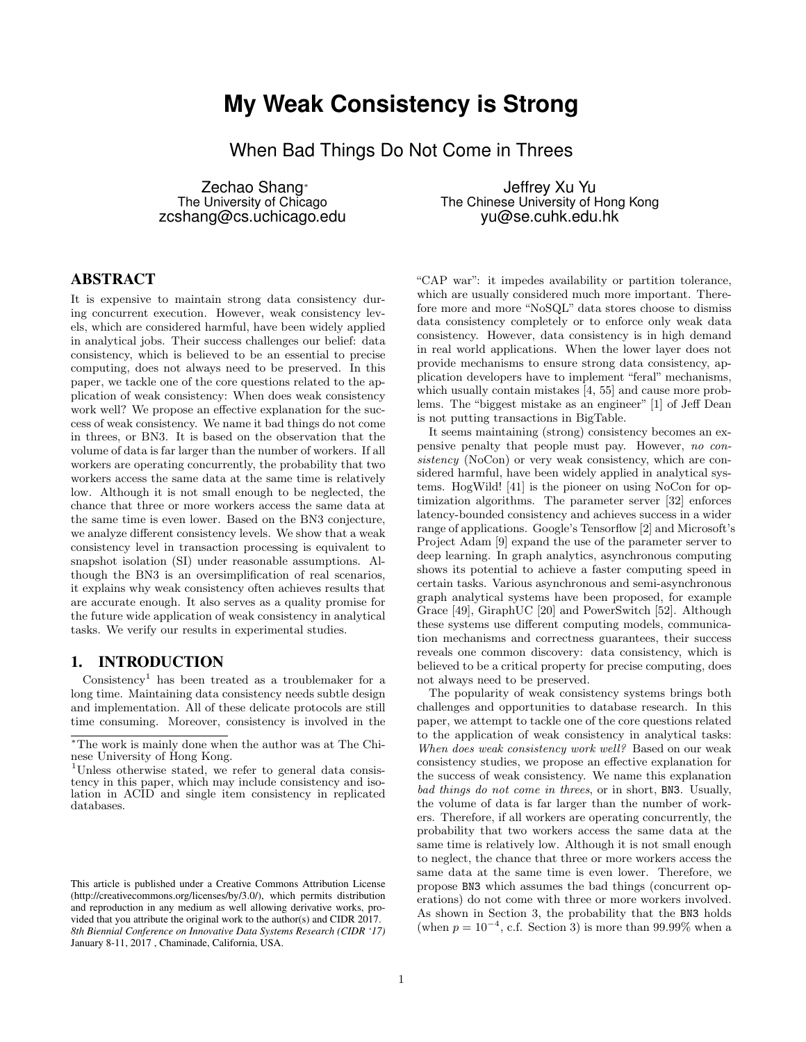# **My Weak Consistency is Strong**

When Bad Things Do Not Come in Threes

Zechao Shang<sup>∗</sup> The University of Chicago zcshang@cs.uchicago.edu

Jeffrey Xu Yu The Chinese University of Hong Kong yu@se.cuhk.edu.hk

# ABSTRACT

It is expensive to maintain strong data consistency during concurrent execution. However, weak consistency levels, which are considered harmful, have been widely applied in analytical jobs. Their success challenges our belief: data consistency, which is believed to be an essential to precise computing, does not always need to be preserved. In this paper, we tackle one of the core questions related to the application of weak consistency: When does weak consistency work well? We propose an effective explanation for the success of weak consistency. We name it bad things do not come in threes, or BN3. It is based on the observation that the volume of data is far larger than the number of workers. If all workers are operating concurrently, the probability that two workers access the same data at the same time is relatively low. Although it is not small enough to be neglected, the chance that three or more workers access the same data at the same time is even lower. Based on the BN3 conjecture, we analyze different consistency levels. We show that a weak consistency level in transaction processing is equivalent to snapshot isolation (SI) under reasonable assumptions. Although the BN3 is an oversimplification of real scenarios, it explains why weak consistency often achieves results that are accurate enough. It also serves as a quality promise for the future wide application of weak consistency in analytical tasks. We verify our results in experimental studies.

## 1. INTRODUCTION

 $Consistency<sup>1</sup>$  has been treated as a troublemaker for a long time. Maintaining data consistency needs subtle design and implementation. All of these delicate protocols are still time consuming. Moreover, consistency is involved in the "CAP war": it impedes availability or partition tolerance, which are usually considered much more important. Therefore more and more "NoSQL" data stores choose to dismiss data consistency completely or to enforce only weak data consistency. However, data consistency is in high demand in real world applications. When the lower layer does not provide mechanisms to ensure strong data consistency, application developers have to implement "feral" mechanisms, which usually contain mistakes [4, 55] and cause more problems. The "biggest mistake as an engineer" [1] of Jeff Dean is not putting transactions in BigTable.

It seems maintaining (strong) consistency becomes an expensive penalty that people must pay. However, no consistency (NoCon) or very weak consistency, which are considered harmful, have been widely applied in analytical systems. HogWild! [41] is the pioneer on using NoCon for optimization algorithms. The parameter server [32] enforces latency-bounded consistency and achieves success in a wider range of applications. Google's Tensorflow [2] and Microsoft's Project Adam [9] expand the use of the parameter server to deep learning. In graph analytics, asynchronous computing shows its potential to achieve a faster computing speed in certain tasks. Various asynchronous and semi-asynchronous graph analytical systems have been proposed, for example Grace [49], GiraphUC [20] and PowerSwitch [52]. Although these systems use different computing models, communication mechanisms and correctness guarantees, their success reveals one common discovery: data consistency, which is believed to be a critical property for precise computing, does not always need to be preserved.

The popularity of weak consistency systems brings both challenges and opportunities to database research. In this paper, we attempt to tackle one of the core questions related to the application of weak consistency in analytical tasks: When does weak consistency work well? Based on our weak consistency studies, we propose an effective explanation for the success of weak consistency. We name this explanation bad things do not come in threes, or in short, BN3. Usually, the volume of data is far larger than the number of workers. Therefore, if all workers are operating concurrently, the probability that two workers access the same data at the same time is relatively low. Although it is not small enough to neglect, the chance that three or more workers access the same data at the same time is even lower. Therefore, we propose BN3 which assumes the bad things (concurrent operations) do not come with three or more workers involved. As shown in Section 3, the probability that the BN3 holds (when  $p = 10^{-4}$ , c.f. Section 3) is more than 99.99% when a

<sup>∗</sup>The work is mainly done when the author was at The Chinese University of Hong Kong.

<sup>&</sup>lt;sup>1</sup>Unless otherwise stated, we refer to general data consistency in this paper, which may include consistency and isolation in ACID and single item consistency in replicated databases.

This article is published under a Creative Commons Attribution License (http://creativecommons.org/licenses/by/3.0/), which permits distribution and reproduction in any medium as well allowing derivative works, provided that you attribute the original work to the author(s) and CIDR 2017. *8th Biennial Conference on Innovative Data Systems Research (CIDR '17)* January 8-11, 2017 , Chaminade, California, USA.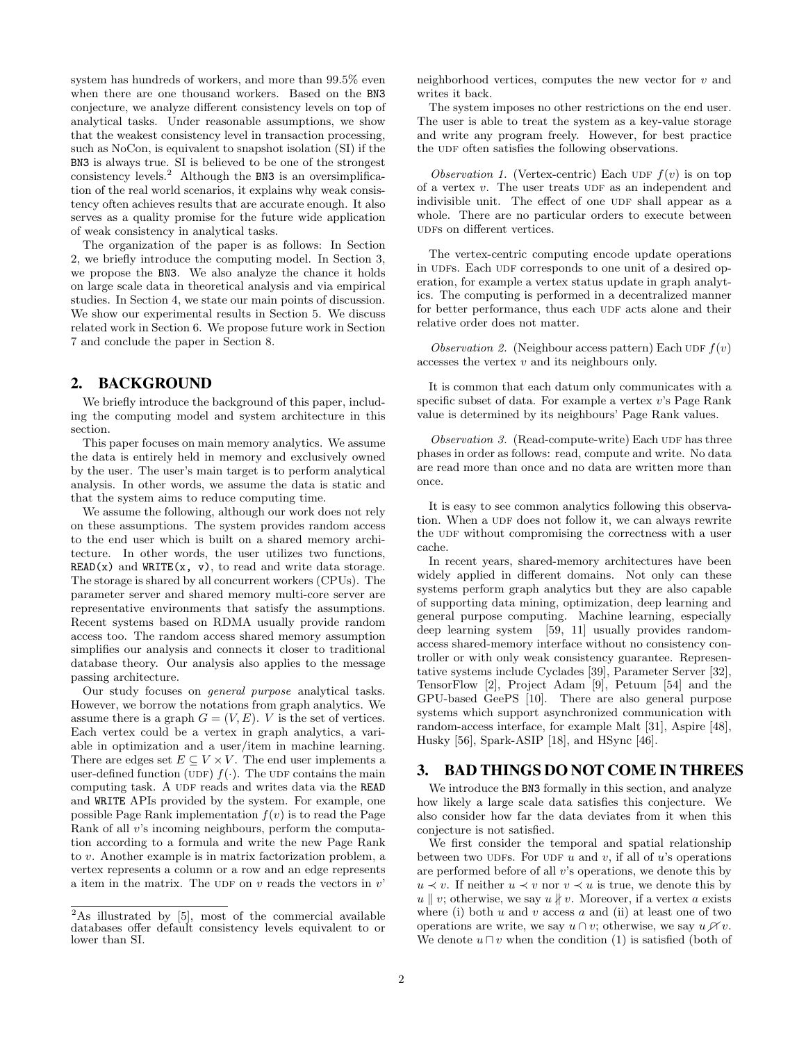system has hundreds of workers, and more than 99.5% even when there are one thousand workers. Based on the BN3 conjecture, we analyze different consistency levels on top of analytical tasks. Under reasonable assumptions, we show that the weakest consistency level in transaction processing, such as NoCon, is equivalent to snapshot isolation (SI) if the BN3 is always true. SI is believed to be one of the strongest consistency levels.<sup>2</sup> Although the BN3 is an oversimplification of the real world scenarios, it explains why weak consistency often achieves results that are accurate enough. It also serves as a quality promise for the future wide application of weak consistency in analytical tasks.

The organization of the paper is as follows: In Section 2, we briefly introduce the computing model. In Section 3, we propose the BN3. We also analyze the chance it holds on large scale data in theoretical analysis and via empirical studies. In Section 4, we state our main points of discussion. We show our experimental results in Section 5. We discuss related work in Section 6. We propose future work in Section 7 and conclude the paper in Section 8.

## 2. BACKGROUND

We briefly introduce the background of this paper, including the computing model and system architecture in this section.

This paper focuses on main memory analytics. We assume the data is entirely held in memory and exclusively owned by the user. The user's main target is to perform analytical analysis. In other words, we assume the data is static and that the system aims to reduce computing time.

We assume the following, although our work does not rely on these assumptions. The system provides random access to the end user which is built on a shared memory architecture. In other words, the user utilizes two functions,  $READ(x)$  and  $WRITE(x, v)$ , to read and write data storage. The storage is shared by all concurrent workers (CPUs). The parameter server and shared memory multi-core server are representative environments that satisfy the assumptions. Recent systems based on RDMA usually provide random access too. The random access shared memory assumption simplifies our analysis and connects it closer to traditional database theory. Our analysis also applies to the message passing architecture.

Our study focuses on general purpose analytical tasks. However, we borrow the notations from graph analytics. We assume there is a graph  $G = (V, E)$ . V is the set of vertices. Each vertex could be a vertex in graph analytics, a variable in optimization and a user/item in machine learning. There are edges set  $E \subseteq V \times V$ . The end user implements a user-defined function (UDF)  $f(\cdot)$ . The UDF contains the main computing task. A UDF reads and writes data via the READ and WRITE APIs provided by the system. For example, one possible Page Rank implementation  $f(v)$  is to read the Page Rank of all v's incoming neighbours, perform the computation according to a formula and write the new Page Rank to v. Another example is in matrix factorization problem, a vertex represents a column or a row and an edge represents a item in the matrix. The UDF on  $v$  reads the vectors in  $v'$ 

neighborhood vertices, computes the new vector for  $v$  and writes it back.

The system imposes no other restrictions on the end user. The user is able to treat the system as a key-value storage and write any program freely. However, for best practice the UDF often satisfies the following observations.

Observation 1. (Vertex-centric) Each UDF  $f(v)$  is on top of a vertex  $v$ . The user treats UDF as an independent and indivisible unit. The effect of one UDF shall appear as a whole. There are no particular orders to execute between udfs on different vertices.

The vertex-centric computing encode update operations in UDFs. Each UDF corresponds to one unit of a desired operation, for example a vertex status update in graph analytics. The computing is performed in a decentralized manner for better performance, thus each UDF acts alone and their relative order does not matter.

Observation 2. (Neighbour access pattern) Each UDF  $f(v)$ accesses the vertex  $v$  and its neighbours only.

It is common that each datum only communicates with a specific subset of data. For example a vertex  $v$ 's Page Rank value is determined by its neighbours' Page Rank values.

Observation  $\beta$ . (Read-compute-write) Each UDF has three phases in order as follows: read, compute and write. No data are read more than once and no data are written more than once.

It is easy to see common analytics following this observation. When a UDF does not follow it, we can always rewrite the UDF without compromising the correctness with a user cache.

In recent years, shared-memory architectures have been widely applied in different domains. Not only can these systems perform graph analytics but they are also capable of supporting data mining, optimization, deep learning and general purpose computing. Machine learning, especially deep learning system [59, 11] usually provides randomaccess shared-memory interface without no consistency controller or with only weak consistency guarantee. Representative systems include Cyclades [39], Parameter Server [32], TensorFlow [2], Project Adam [9], Petuum [54] and the GPU-based GeePS [10]. There are also general purpose systems which support asynchronized communication with random-access interface, for example Malt [31], Aspire [48], Husky [56], Spark-ASIP [18], and HSync [46].

## 3. BAD THINGS DO NOT COME IN THREES

We introduce the BN3 formally in this section, and analyze how likely a large scale data satisfies this conjecture. We also consider how far the data deviates from it when this conjecture is not satisfied.

We first consider the temporal and spatial relationship between two UDFs. For UDF  $u$  and  $v$ , if all of  $u$ 's operations are performed before of all  $v$ 's operations, we denote this by  $u \prec v$ . If neither  $u \prec v$  nor  $v \prec u$  is true, we denote this by  $u \parallel v$ ; otherwise, we say  $u \nparallel v$ . Moreover, if a vertex a exists where (i) both  $u$  and  $v$  access  $a$  and (ii) at least one of two operations are write, we say  $u \cap v$ ; otherwise, we say  $u \not\uparrow v$ . We denote  $u \sqcap v$  when the condition (1) is satisfied (both of

 $2\text{As illustrated by } [5]$ , most of the commercial available databases offer default consistency levels equivalent to or lower than SI.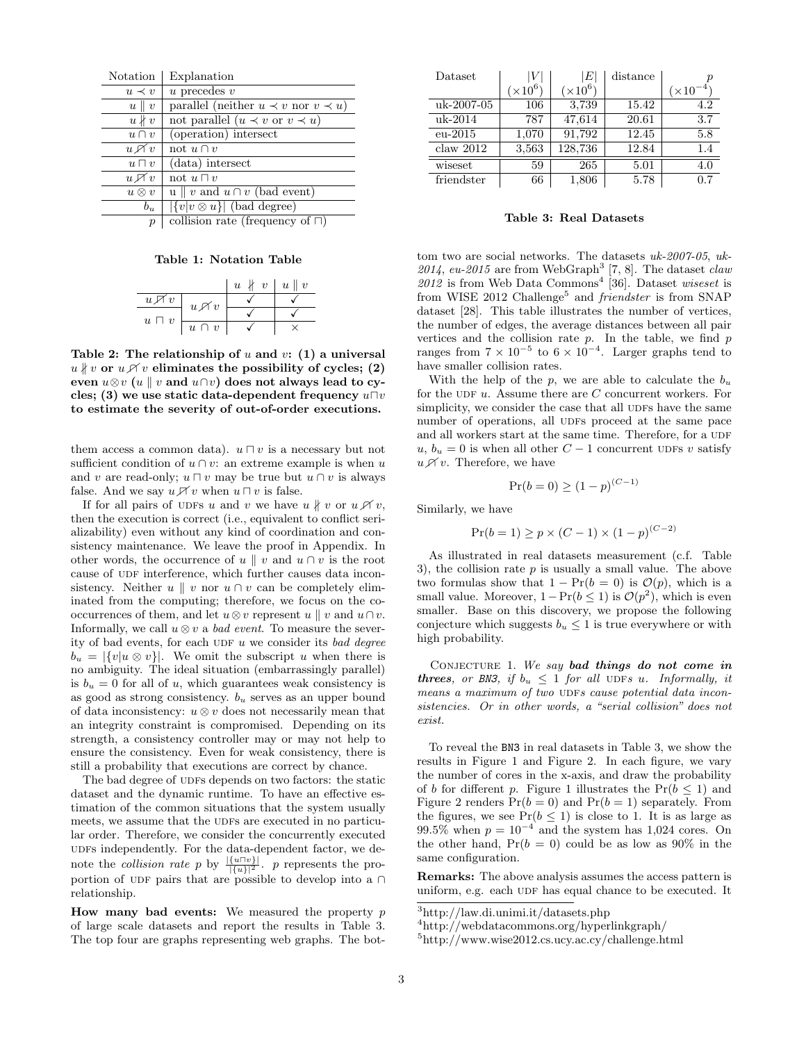| Notation                        | Explanation                                      |
|---------------------------------|--------------------------------------------------|
| $u \prec v$                     | $u$ precedes $v$                                 |
| $u \parallel v$                 | parallel (neither $u \prec v$ nor $v \prec u$ )  |
| $u\nparallel v$                 | not parallel $(u \prec v \text{ or } v \prec u)$ |
| $u \cap v$                      | (operation) intersect                            |
| $u \not\mathrel{\mathcal{A}} v$ | not $u \cap v$                                   |
| $u \sqcap v$                    | (data) intersect                                 |
| $u \not\sqcap v$                | not $u \sqcap v$                                 |
| $u\otimes v$                    | $u \parallel v$ and $u \cap v$ (bad event)       |
| $b_u$                           | $ \{v v\otimes u\} $ (bad degree)                |
| $\sim$                          |                                                  |

p | collision rate (frequency of  $\Box$ )

Table 1: Notation Table

|                  |                            | $\ v\ $<br>$\boldsymbol{u}$ | $\ u\ $<br>$\boldsymbol{v}$ |
|------------------|----------------------------|-----------------------------|-----------------------------|
| $u \not\sqcap v$ | $u \mathop{\mathscr{A}} v$ |                             |                             |
| $u \sqcap v$     |                            |                             |                             |
|                  | $u \cap v$                 |                             |                             |

Table 2: The relationship of  $u$  and  $v$ : (1) a universal  $u \nparallel v$  or  $u \ntriangle v$  eliminates the possibility of cycles; (2) even  $u \otimes v$  (u | v and  $u \cap v$ ) does not always lead to cycles; (3) we use static data-dependent frequency  $u\Box v$ to estimate the severity of out-of-order executions.

them access a common data).  $u \sqcap v$  is a necessary but not sufficient condition of  $u \cap v$ : an extreme example is when u and v are read-only;  $u \sqcap v$  may be true but  $u \cap v$  is always false. And we say  $u \nearrow v$  when  $u \sqcap v$  is false.

If for all pairs of ups u and v we have  $u \nparallel v$  or  $u \not\uparrow v$ , then the execution is correct (i.e., equivalent to conflict serializability) even without any kind of coordination and consistency maintenance. We leave the proof in Appendix. In other words, the occurrence of u || v and  $u \cap v$  is the root cause of UDF interference, which further causes data inconsistency. Neither  $u \parallel v$  nor  $u \cap v$  can be completely eliminated from the computing; therefore, we focus on the cooccurrences of them, and let  $u \otimes v$  represent  $u \parallel v$  and  $u \cap v$ . Informally, we call  $u \otimes v$  a *bad event*. To measure the severity of bad events, for each UDF  $u$  we consider its bad degree  $b_u = |\{v|u \otimes v\}|$ . We omit the subscript u when there is no ambiguity. The ideal situation (embarrassingly parallel) is  $b_u = 0$  for all of u, which guarantees weak consistency is as good as strong consistency.  $b<sub>u</sub>$  serves as an upper bound of data inconsistency:  $u \otimes v$  does not necessarily mean that an integrity constraint is compromised. Depending on its strength, a consistency controller may or may not help to ensure the consistency. Even for weak consistency, there is still a probability that executions are correct by chance.

The bad degree of UDFs depends on two factors: the static dataset and the dynamic runtime. To have an effective estimation of the common situations that the system usually meets, we assume that the UDFs are executed in no particular order. Therefore, we consider the concurrently executed udfs independently. For the data-dependent factor, we denote the *collision rate* p by  $\frac{|\{u\cap v\}|}{|\{u\}|^2}$ . p represents the proportion of UDF pairs that are possible to develop into a ∩ relationship.

**How many bad events:** We measured the property  $p$ of large scale datasets and report the results in Table 3. The top four are graphs representing web graphs. The bot-

| Dataset    |           | $\left E\right $ | distance |                  |
|------------|-----------|------------------|----------|------------------|
|            | $(x10^6)$ | $(\times 10^6)$  |          | $\times 10^{-4}$ |
| uk-2007-05 | 106       | 3,739            | 15.42    | 4.2              |
| uk-2014    | 787       | 47,614           | 20.61    | 3.7              |
| $eu-2015$  | 1,070     | 91,792           | 12.45    | 5.8              |
| claw 2012  | 3,563     | 128,736          | 12.84    | 1.4              |
| wiseset    | 59        | 265              | 5.01     | 4.0              |
| friendster | 66        | 1,806            | 5.78     | 0.7              |

Table 3: Real Datasets

tom two are social networks. The datasets uk-2007-05, uk-2014, eu-2015 are from WebGraph<sup>3</sup> [7, 8]. The dataset *claw*  $2012$  is from Web Data Commons<sup>4</sup> [36]. Dataset wiseset is from WISE 2012 Challenge<sup>5</sup> and *friendster* is from SNAP dataset [28]. This table illustrates the number of vertices, the number of edges, the average distances between all pair vertices and the collision rate  $p$ . In the table, we find  $p$ ranges from  $7 \times 10^{-5}$  to  $6 \times 10^{-4}$ . Larger graphs tend to have smaller collision rates.

With the help of the  $p$ , we are able to calculate the  $b_u$ for the UDF  $u$ . Assume there are  $C$  concurrent workers. For simplicity, we consider the case that all UDFs have the same number of operations, all UDFs proceed at the same pace and all workers start at the same time. Therefore, for a UDF  $u, b_u = 0$  is when all other  $C - 1$  concurrent UDFs v satisfy  $u \nightharpoondown v$ . Therefore, we have

$$
\Pr(b=0) \ge (1-p)^{(C-1)}
$$

Similarly, we have

$$
Pr(b = 1) \ge p \times (C - 1) \times (1 - p)^{(C - 2)}
$$

As illustrated in real datasets measurement (c.f. Table 3), the collision rate  $p$  is usually a small value. The above two formulas show that  $1 - Pr(b = 0)$  is  $\mathcal{O}(p)$ , which is a small value. Moreover,  $1 - Pr(b \le 1)$  is  $\mathcal{O}(p^2)$ , which is even smaller. Base on this discovery, we propose the following conjecture which suggests  $b_u \leq 1$  is true everywhere or with high probability.

CONJECTURE 1. We say bad things do not come in threes, or BN3, if  $b_u \leq 1$  for all UDFs u. Informally, it means a maximum of two UDFs cause potential data inconsistencies. Or in other words, a "serial collision" does not exist.

To reveal the BN3 in real datasets in Table 3, we show the results in Figure 1 and Figure 2. In each figure, we vary the number of cores in the x-axis, and draw the probability of b for different p. Figure 1 illustrates the  $Pr(b \leq 1)$  and Figure 2 renders  $Pr(b = 0)$  and  $Pr(b = 1)$  separately. From the figures, we see  $Pr(b \leq 1)$  is close to 1. It is as large as 99.5% when  $p = 10^{-4}$  and the system has 1,024 cores. On the other hand,  $Pr(b = 0)$  could be as low as 90% in the same configuration.

Remarks: The above analysis assumes the access pattern is uniform, e.g. each UDF has equal chance to be executed. It

<sup>3</sup>http://law.di.unimi.it/datasets.php

<sup>4</sup>http://webdatacommons.org/hyperlinkgraph/

<sup>5</sup>http://www.wise2012.cs.ucy.ac.cy/challenge.html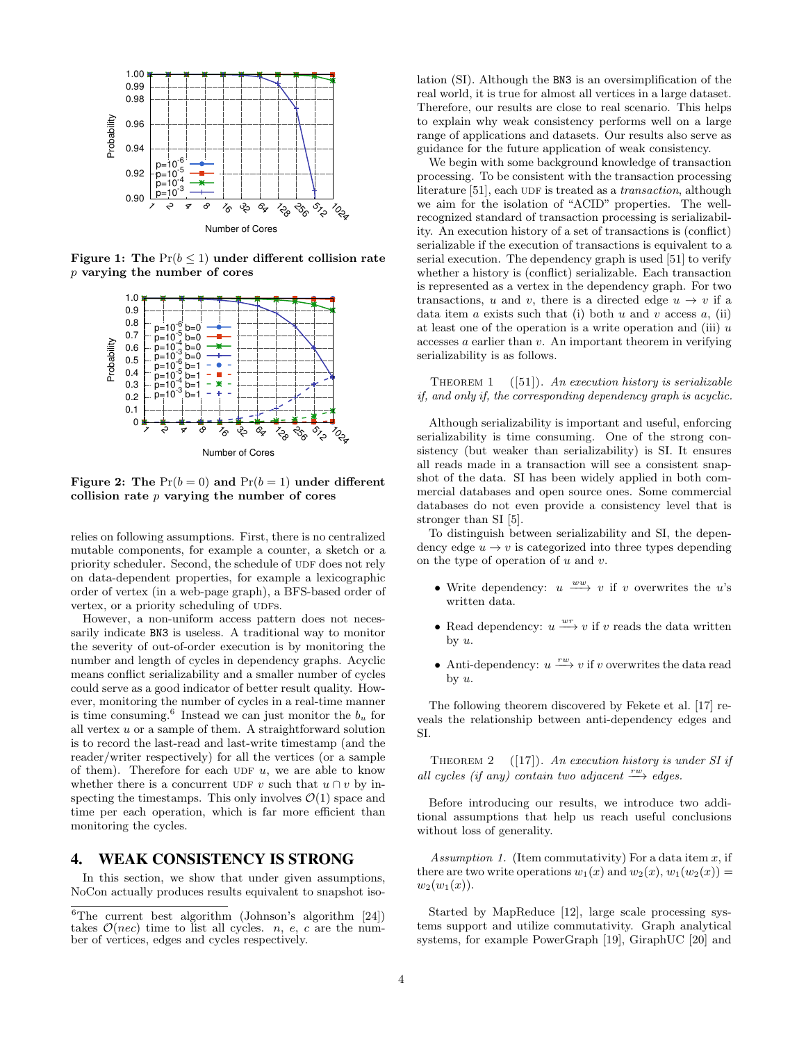

Figure 1: The  $Pr(b \leq 1)$  under different collision rate p varying the number of cores



Figure 2: The  $Pr(b = 0)$  and  $Pr(b = 1)$  under different collision rate  $p$  varying the number of cores

relies on following assumptions. First, there is no centralized mutable components, for example a counter, a sketch or a priority scheduler. Second, the schedule of UDF does not rely on data-dependent properties, for example a lexicographic order of vertex (in a web-page graph), a BFS-based order of vertex, or a priority scheduling of UDFs.

However, a non-uniform access pattern does not necessarily indicate BN3 is useless. A traditional way to monitor the severity of out-of-order execution is by monitoring the number and length of cycles in dependency graphs. Acyclic means conflict serializability and a smaller number of cycles could serve as a good indicator of better result quality. However, monitoring the number of cycles in a real-time manner is time consuming.<sup>6</sup> Instead we can just monitor the  $b_u$  for all vertex  $u$  or a sample of them. A straightforward solution is to record the last-read and last-write timestamp (and the reader/writer respectively) for all the vertices (or a sample of them). Therefore for each UDF  $u$ , we are able to know whether there is a concurrent UDF v such that  $u \cap v$  by inspecting the timestamps. This only involves  $\mathcal{O}(1)$  space and time per each operation, which is far more efficient than monitoring the cycles.

## 4. WEAK CONSISTENCY IS STRONG

In this section, we show that under given assumptions, NoCon actually produces results equivalent to snapshot isolation (SI). Although the BN3 is an oversimplification of the real world, it is true for almost all vertices in a large dataset. Therefore, our results are close to real scenario. This helps to explain why weak consistency performs well on a large range of applications and datasets. Our results also serve as guidance for the future application of weak consistency.

We begin with some background knowledge of transaction processing. To be consistent with the transaction processing literature  $[51]$ , each UDF is treated as a *transaction*, although we aim for the isolation of "ACID" properties. The wellrecognized standard of transaction processing is serializability. An execution history of a set of transactions is (conflict) serializable if the execution of transactions is equivalent to a serial execution. The dependency graph is used [51] to verify whether a history is (conflict) serializable. Each transaction is represented as a vertex in the dependency graph. For two transactions, u and v, there is a directed edge  $u \to v$  if a data item  $a$  exists such that (i) both  $u$  and  $v$  access  $a$ , (ii) at least one of the operation is a write operation and (iii)  $u$  $accesses a earlier than v. An important theorem in verifying$ serializability is as follows.

THEOREM 1  $([51])$ . An execution history is serializable if, and only if, the corresponding dependency graph is acyclic.

Although serializability is important and useful, enforcing serializability is time consuming. One of the strong consistency (but weaker than serializability) is SI. It ensures all reads made in a transaction will see a consistent snapshot of the data. SI has been widely applied in both commercial databases and open source ones. Some commercial databases do not even provide a consistency level that is stronger than SI [5].

To distinguish between serializability and SI, the dependency edge  $u \to v$  is categorized into three types depending on the type of operation of  $u$  and  $v$ .

- Write dependency:  $u \xrightarrow{ww} v$  if v overwrites the u's written data.
- Read dependency:  $u \xrightarrow{wr} v$  if v reads the data written by  $u$ .
- Anti-dependency:  $u \xrightarrow{rw} v$  if v overwrites the data read by u.

The following theorem discovered by Fekete et al. [17] reveals the relationship between anti-dependency edges and SI.

THEOREM 2  $([17])$ . An execution history is under SI if all cycles (if any) contain two adjacent  $\stackrel{rw}{\longrightarrow}$  edges.

Before introducing our results, we introduce two additional assumptions that help us reach useful conclusions without loss of generality.

Assumption 1. (Item commutativity) For a data item  $x$ , if there are two write operations  $w_1(x)$  and  $w_2(x)$ ,  $w_1(w_2(x)) =$  $w_2(w_1(x))$ .

Started by MapReduce [12], large scale processing systems support and utilize commutativity. Graph analytical systems, for example PowerGraph [19], GiraphUC [20] and

 ${}^{6}$ The current best algorithm (Johnson's algorithm [24]) takes  $\mathcal{O}(nec)$  time to list all cycles. *n, e, c* are the number of vertices, edges and cycles respectively.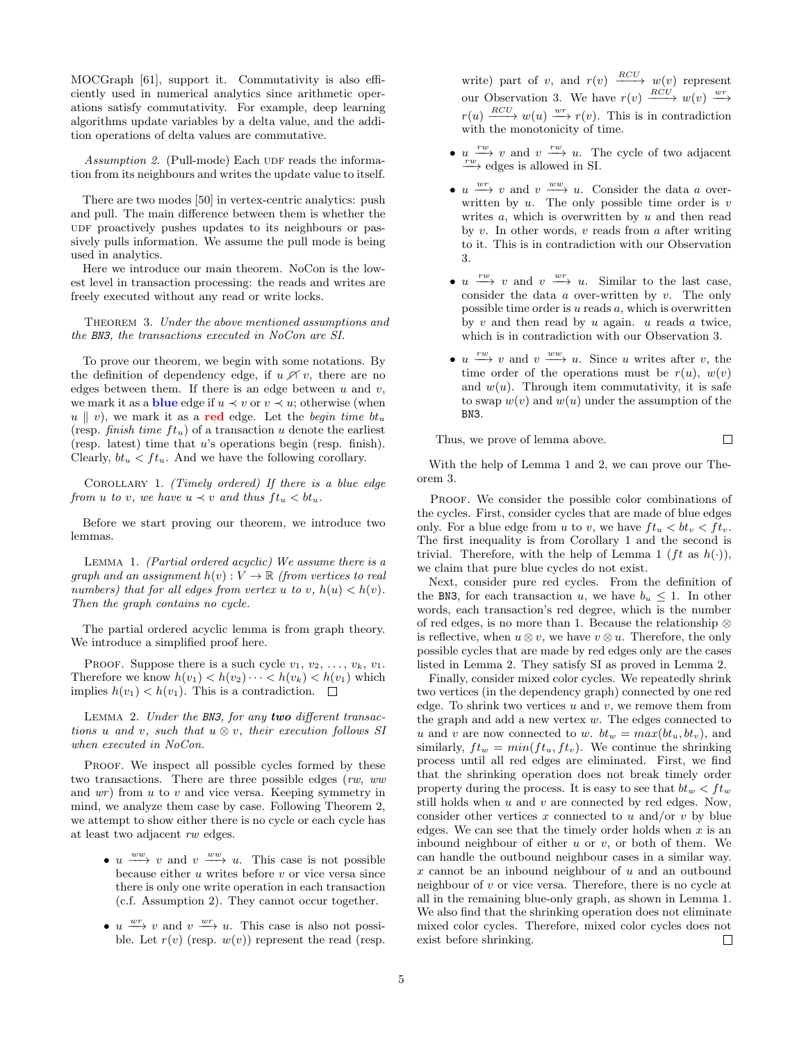MOCGraph [61], support it. Commutativity is also efficiently used in numerical analytics since arithmetic operations satisfy commutativity. For example, deep learning algorithms update variables by a delta value, and the addition operations of delta values are commutative.

Assumption 2. (Pull-mode) Each UDF reads the information from its neighbours and writes the update value to itself.

There are two modes [50] in vertex-centric analytics: push and pull. The main difference between them is whether the UDF proactively pushes updates to its neighbours or passively pulls information. We assume the pull mode is being used in analytics.

Here we introduce our main theorem. NoCon is the lowest level in transaction processing: the reads and writes are freely executed without any read or write locks.

THEOREM 3. Under the above mentioned assumptions and the BN3, the transactions executed in NoCon are SI.

To prove our theorem, we begin with some notations. By the definition of dependency edge, if  $u \not\uparrow v$ , there are no edges between them. If there is an edge between  $u$  and  $v$ , we mark it as a **blue** edge if  $u \prec v$  or  $v \prec u$ ; otherwise (when  $u \parallel v$ , we mark it as a red edge. Let the begin time bt<sub>u</sub> (resp. finish time  $ft_u$ ) of a transaction u denote the earliest (resp. latest) time that u's operations begin (resp. finish). Clearly,  $bt_u < ft_u$ . And we have the following corollary.

COROLLARY 1. (Timely ordered) If there is a blue edge from u to v, we have  $u \prec v$  and thus  $ft_u < bt_u$ .

Before we start proving our theorem, we introduce two lemmas.

LEMMA 1. (Partial ordered acyclic) We assume there is a graph and an assignment  $h(v): V \to \mathbb{R}$  (from vertices to real numbers) that for all edges from vertex u to v,  $h(u) < h(v)$ . Then the graph contains no cycle.

The partial ordered acyclic lemma is from graph theory. We introduce a simplified proof here.

PROOF. Suppose there is a such cycle  $v_1, v_2, \ldots, v_k, v_1$ . Therefore we know  $h(v_1) < h(v_2) \cdots < h(v_k) < h(v_1)$  which implies  $h(v_1) < h(v_1)$ . This is a contradiction.  $\square$ 

LEMMA 2. Under the BN3, for any two different transactions u and v, such that  $u \otimes v$ , their execution follows SI when executed in NoCon.

PROOF. We inspect all possible cycles formed by these two transactions. There are three possible edges (rw, ww and  $wr$ ) from  $u$  to  $v$  and vice versa. Keeping symmetry in mind, we analyze them case by case. Following Theorem 2, we attempt to show either there is no cycle or each cycle has at least two adjacent rw edges.

- $u \xrightarrow{ww} v$  and  $v \xrightarrow{ww} u$ . This case is not possible because either  $u$  writes before  $v$  or vice versa since there is only one write operation in each transaction (c.f. Assumption 2). They cannot occur together.
- $u \stackrel{wr}{\longrightarrow} v$  and  $v \stackrel{wr}{\longrightarrow} u$ . This case is also not possible. Let  $r(v)$  (resp.  $w(v)$ ) represent the read (resp.

write) part of v, and  $r(v) \xrightarrow{RCU} w(v)$  represent our Observation 3. We have  $r(v) \xrightarrow{RCU} w(v) \xrightarrow{wr}$  $r(u) \xrightarrow{RCU} w(u) \xrightarrow{wr} r(v)$ . This is in contradiction with the monotonicity of time.

- $u \stackrel{rw}{\longrightarrow} v$  and  $v \stackrel{rw}{\longrightarrow} u$ . The cycle of two adjacent  $f^w$  edges is allowed in SI.
- $u \stackrel{wr}{\longrightarrow} v$  and  $v \stackrel{ww}{\longrightarrow} u$ . Consider the data a overwritten by  $u$ . The only possible time order is  $v$ writes  $a$ , which is overwritten by  $u$  and then read by  $v$ . In other words,  $v$  reads from  $a$  after writing to it. This is in contradiction with our Observation 3.
- $u \stackrel{rw}{\longrightarrow} v$  and  $v \stackrel{wr}{\longrightarrow} u$ . Similar to the last case, consider the data  $a$  over-written by  $v$ . The only possible time order is  $u$  reads  $a$ , which is overwritten by  $v$  and then read by  $u$  again.  $u$  reads  $a$  twice, which is in contradiction with our Observation 3.
- $u \stackrel{rw}{\longrightarrow} v$  and  $v \stackrel{ww}{\longrightarrow} u$ . Since u writes after v, the time order of the operations must be  $r(u)$ ,  $w(v)$ and  $w(u)$ . Through item commutativity, it is safe to swap  $w(v)$  and  $w(u)$  under the assumption of the BN3.

 $\Box$ 

Thus, we prove of lemma above.

With the help of Lemma 1 and 2, we can prove our Theorem 3.

PROOF. We consider the possible color combinations of the cycles. First, consider cycles that are made of blue edges only. For a blue edge from u to v, we have  $ft_u < bt_v < ft_v$ . The first inequality is from Corollary 1 and the second is trivial. Therefore, with the help of Lemma 1 (*ft* as  $h(.)$ ), we claim that pure blue cycles do not exist.

Next, consider pure red cycles. From the definition of the BN3, for each transaction u, we have  $b_u \leq 1$ . In other words, each transaction's red degree, which is the number of red edges, is no more than 1. Because the relationship ⊗ is reflective, when  $u \otimes v$ , we have  $v \otimes u$ . Therefore, the only possible cycles that are made by red edges only are the cases listed in Lemma 2. They satisfy SI as proved in Lemma 2.

Finally, consider mixed color cycles. We repeatedly shrink two vertices (in the dependency graph) connected by one red edge. To shrink two vertices  $u$  and  $v$ , we remove them from the graph and add a new vertex w. The edges connected to u and v are now connected to w.  $bt_w = max(bt_u, bt_v)$ , and similarly,  $ft_w = min(f_t t_u, f_t v)$ . We continue the shrinking process until all red edges are eliminated. First, we find that the shrinking operation does not break timely order property during the process. It is easy to see that  $bt_w < ft_w$ still holds when  $u$  and  $v$  are connected by red edges. Now, consider other vertices x connected to u and/or v by blue edges. We can see that the timely order holds when  $x$  is an inbound neighbour of either  $u$  or  $v$ , or both of them. We can handle the outbound neighbour cases in a similar way.  $x$  cannot be an inbound neighbour of  $u$  and an outbound neighbour of v or vice versa. Therefore, there is no cycle at all in the remaining blue-only graph, as shown in Lemma 1. We also find that the shrinking operation does not eliminate mixed color cycles. Therefore, mixed color cycles does not exist before shrinking.  $\Box$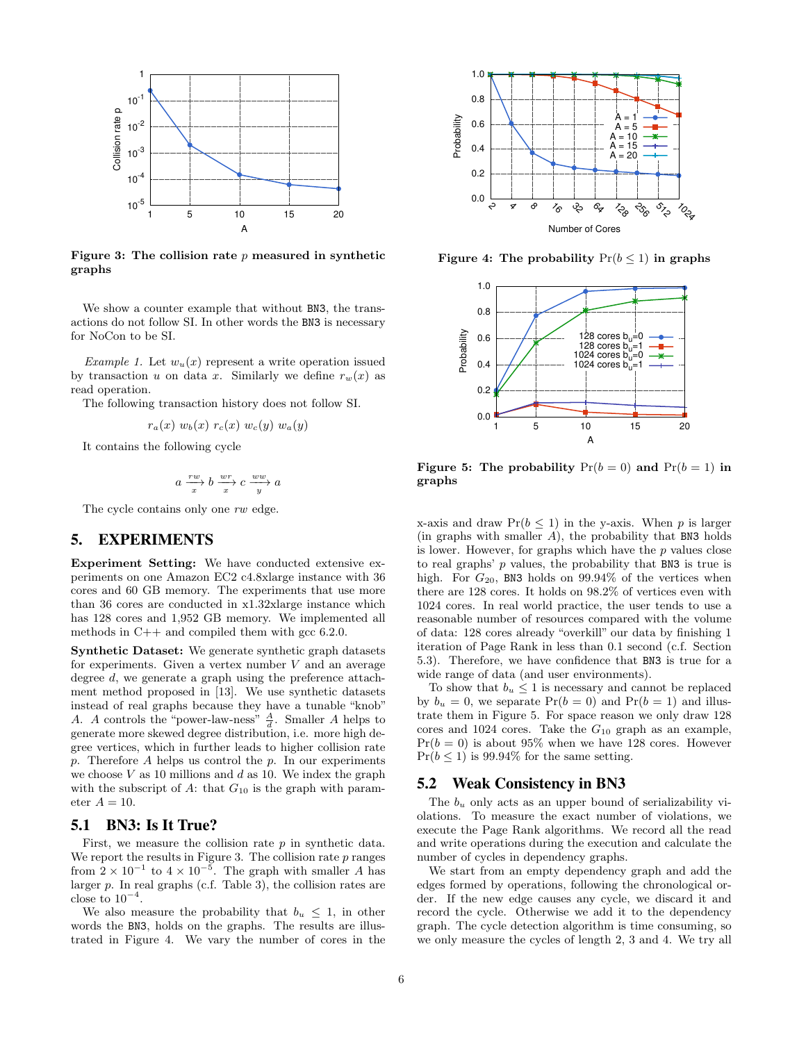

Figure 3: The collision rate  $p$  measured in synthetic graphs

We show a counter example that without BN3, the transactions do not follow SI. In other words the BN3 is necessary for NoCon to be SI.

*Example 1.* Let  $w_u(x)$  represent a write operation issued by transaction u on data x. Similarly we define  $r_w(x)$  as read operation.

The following transaction history does not follow SI.

$$
r_a(x) w_b(x) r_c(x) w_c(y) w_a(y)
$$

It contains the following cycle

$$
a \xrightarrow{x} b \xrightarrow{x} c \xrightarrow{ww} a
$$

The cycle contains only one rw edge.

## 5. EXPERIMENTS

Experiment Setting: We have conducted extensive experiments on one Amazon EC2 c4.8xlarge instance with 36 cores and 60 GB memory. The experiments that use more than 36 cores are conducted in x1.32xlarge instance which has 128 cores and 1,952 GB memory. We implemented all methods in  $C++$  and compiled them with gcc 6.2.0.

Synthetic Dataset: We generate synthetic graph datasets for experiments. Given a vertex number  $V$  and an average degree d, we generate a graph using the preference attachment method proposed in [13]. We use synthetic datasets instead of real graphs because they have a tunable "knob" A. A controls the "power-law-ness"  $\frac{A}{d}$ . Smaller A helps to generate more skewed degree distribution, i.e. more high degree vertices, which in further leads to higher collision rate  $p.$  Therefore  $A$  helps us control the  $p.$  In our experiments we choose  $V$  as 10 millions and  $d$  as 10. We index the graph with the subscript of  $A$ : that  $G_{10}$  is the graph with parameter  $A = 10$ .

#### 5.1 BN3: Is It True?

First, we measure the collision rate  $p$  in synthetic data. We report the results in Figure 3. The collision rate  $p$  ranges from  $2 \times 10^{-1}$  to  $4 \times 10^{-5}$ . The graph with smaller A has larger p. In real graphs (c.f. Table 3), the collision rates are close to  $10^{-4}$ .

We also measure the probability that  $b_u \leq 1$ , in other words the BN3, holds on the graphs. The results are illustrated in Figure 4. We vary the number of cores in the



Figure 4: The probability  $Pr(b \le 1)$  in graphs



Figure 5: The probability  $Pr(b = 0)$  and  $Pr(b = 1)$  in graphs

x-axis and draw  $Pr(b \leq 1)$  in the y-axis. When p is larger (in graphs with smaller  $A$ ), the probability that BN3 holds is lower. However, for graphs which have the  $p$  values close to real graphs'  $p$  values, the probability that BN3 is true is high. For  $G_{20}$ , BN3 holds on 99.94% of the vertices when there are 128 cores. It holds on 98.2% of vertices even with 1024 cores. In real world practice, the user tends to use a reasonable number of resources compared with the volume of data: 128 cores already "overkill" our data by finishing 1 iteration of Page Rank in less than 0.1 second (c.f. Section 5.3). Therefore, we have confidence that BN3 is true for a wide range of data (and user environments).

To show that  $b_u \leq 1$  is necessary and cannot be replaced by  $b_u = 0$ , we separate  $Pr(b = 0)$  and  $Pr(b = 1)$  and illustrate them in Figure 5. For space reason we only draw 128 cores and 1024 cores. Take the  $G_{10}$  graph as an example,  $Pr(b = 0)$  is about 95% when we have 128 cores. However  $Pr(b \leq 1)$  is 99.94% for the same setting.

#### 5.2 Weak Consistency in BN3

The  $b_u$  only acts as an upper bound of serializability violations. To measure the exact number of violations, we execute the Page Rank algorithms. We record all the read and write operations during the execution and calculate the number of cycles in dependency graphs.

We start from an empty dependency graph and add the edges formed by operations, following the chronological order. If the new edge causes any cycle, we discard it and record the cycle. Otherwise we add it to the dependency graph. The cycle detection algorithm is time consuming, so we only measure the cycles of length 2, 3 and 4. We try all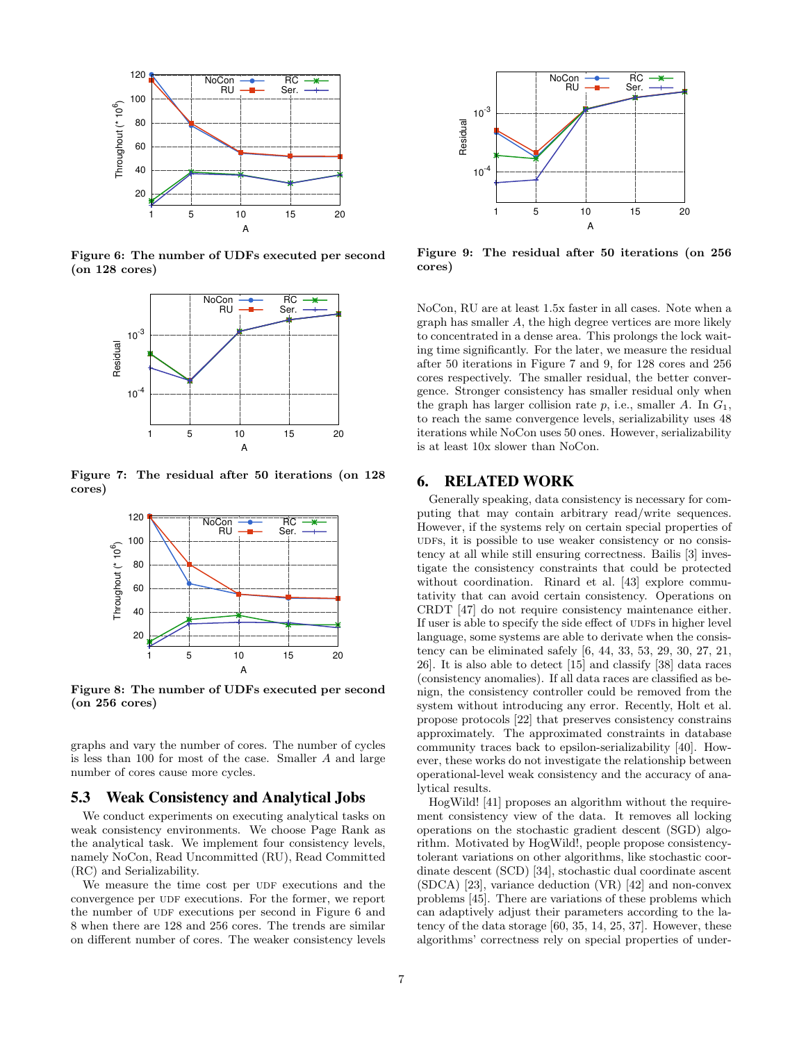

Figure 6: The number of UDFs executed per second (on 128 cores)



Figure 7: The residual after 50 iterations (on 128 cores)



Figure 8: The number of UDFs executed per second (on 256 cores)

graphs and vary the number of cores. The number of cycles is less than 100 for most of the case. Smaller A and large number of cores cause more cycles.

#### 5.3 Weak Consistency and Analytical Jobs

We conduct experiments on executing analytical tasks on weak consistency environments. We choose Page Rank as the analytical task. We implement four consistency levels, namely NoCon, Read Uncommitted (RU), Read Committed (RC) and Serializability.

We measure the time cost per UDF executions and the convergence per UDF executions. For the former, we report the number of UDF executions per second in Figure 6 and 8 when there are 128 and 256 cores. The trends are similar on different number of cores. The weaker consistency levels



Figure 9: The residual after 50 iterations (on 256 cores)

NoCon, RU are at least 1.5x faster in all cases. Note when a graph has smaller A, the high degree vertices are more likely to concentrated in a dense area. This prolongs the lock waiting time significantly. For the later, we measure the residual after 50 iterations in Figure 7 and 9, for 128 cores and 256 cores respectively. The smaller residual, the better convergence. Stronger consistency has smaller residual only when the graph has larger collision rate  $p$ , i.e., smaller  $A$ . In  $G_1$ , to reach the same convergence levels, serializability uses 48 iterations while NoCon uses 50 ones. However, serializability is at least 10x slower than NoCon.

## 6. RELATED WORK

Generally speaking, data consistency is necessary for computing that may contain arbitrary read/write sequences. However, if the systems rely on certain special properties of udfs, it is possible to use weaker consistency or no consistency at all while still ensuring correctness. Bailis [3] investigate the consistency constraints that could be protected without coordination. Rinard et al. [43] explore commutativity that can avoid certain consistency. Operations on CRDT [47] do not require consistency maintenance either. If user is able to specify the side effect of UDFs in higher level language, some systems are able to derivate when the consistency can be eliminated safely [6, 44, 33, 53, 29, 30, 27, 21, 26]. It is also able to detect [15] and classify [38] data races (consistency anomalies). If all data races are classified as benign, the consistency controller could be removed from the system without introducing any error. Recently, Holt et al. propose protocols [22] that preserves consistency constrains approximately. The approximated constraints in database community traces back to epsilon-serializability [40]. However, these works do not investigate the relationship between operational-level weak consistency and the accuracy of analytical results.

HogWild! [41] proposes an algorithm without the requirement consistency view of the data. It removes all locking operations on the stochastic gradient descent (SGD) algorithm. Motivated by HogWild!, people propose consistencytolerant variations on other algorithms, like stochastic coordinate descent (SCD) [34], stochastic dual coordinate ascent (SDCA) [23], variance deduction (VR) [42] and non-convex problems [45]. There are variations of these problems which can adaptively adjust their parameters according to the latency of the data storage [60, 35, 14, 25, 37]. However, these algorithms' correctness rely on special properties of under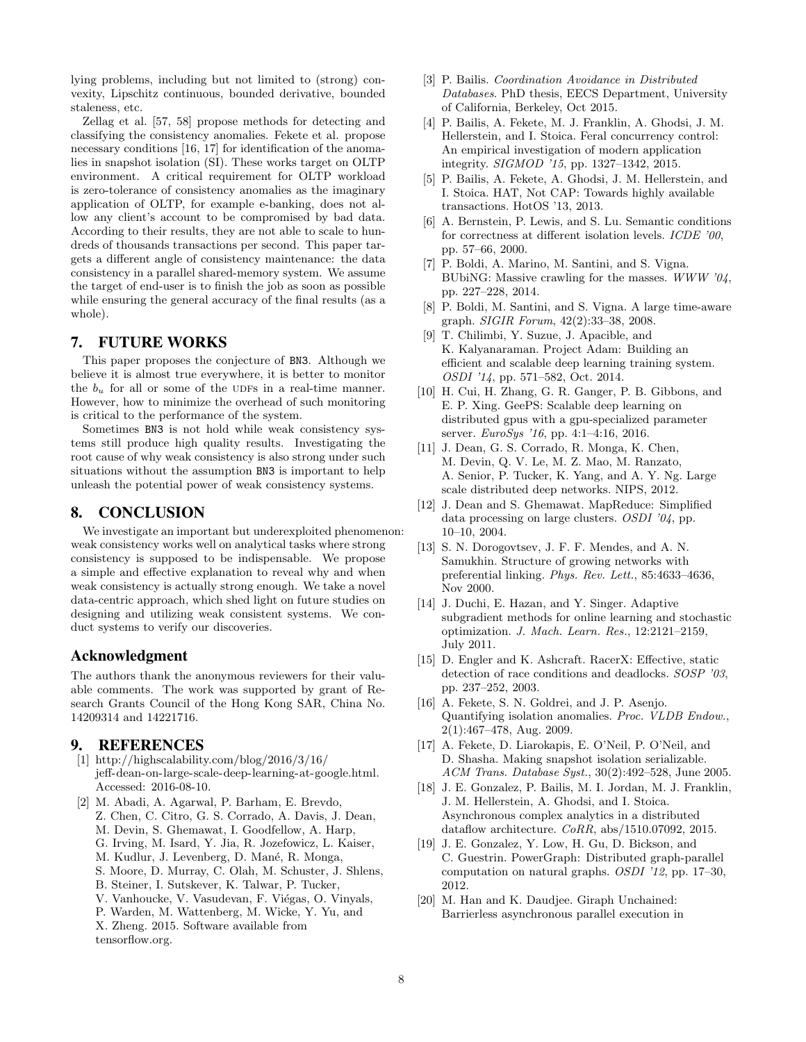lying problems, including but not limited to (strong) convexity, Lipschitz continuous, bounded derivative, bounded staleness, etc.

Zellag et al. [57, 58] propose methods for detecting and classifying the consistency anomalies. Fekete et al. propose necessary conditions [16, 17] for identification of the anomalies in snapshot isolation (SI). These works target on OLTP environment. A critical requirement for OLTP workload is zero-tolerance of consistency anomalies as the imaginary application of OLTP, for example e-banking, does not allow any client's account to be compromised by bad data. According to their results, they are not able to scale to hundreds of thousands transactions per second. This paper targets a different angle of consistency maintenance: the data consistency in a parallel shared-memory system. We assume the target of end-user is to finish the job as soon as possible while ensuring the general accuracy of the final results (as a whole).

## 7. FUTURE WORKS

This paper proposes the conjecture of BN3. Although we believe it is almost true everywhere, it is better to monitor the  $b<sub>u</sub>$  for all or some of the UDFs in a real-time manner. However, how to minimize the overhead of such monitoring is critical to the performance of the system.

Sometimes BN3 is not hold while weak consistency systems still produce high quality results. Investigating the root cause of why weak consistency is also strong under such situations without the assumption BN3 is important to help unleash the potential power of weak consistency systems.

## 8. CONCLUSION

We investigate an important but underexploited phenomenon: weak consistency works well on analytical tasks where strong consistency is supposed to be indispensable. We propose a simple and effective explanation to reveal why and when weak consistency is actually strong enough. We take a novel data-centric approach, which shed light on future studies on designing and utilizing weak consistent systems. We conduct systems to verify our discoveries.

### Acknowledgment

The authors thank the anonymous reviewers for their valuable comments. The work was supported by grant of Research Grants Council of the Hong Kong SAR, China No. 14209314 and 14221716.

## 9. REFERENCES

- [1] http://highscalability.com/blog/2016/3/16/ jeff-dean-on-large-scale-deep-learning-at-google.html. Accessed: 2016-08-10.
- [2] M. Abadi, A. Agarwal, P. Barham, E. Brevdo, Z. Chen, C. Citro, G. S. Corrado, A. Davis, J. Dean, M. Devin, S. Ghemawat, I. Goodfellow, A. Harp, G. Irving, M. Isard, Y. Jia, R. Jozefowicz, L. Kaiser,
	- M. Kudlur, J. Levenberg, D. Mané, R. Monga,
	- S. Moore, D. Murray, C. Olah, M. Schuster, J. Shlens,
	- B. Steiner, I. Sutskever, K. Talwar, P. Tucker,
	- V. Vanhoucke, V. Vasudevan, F. Viégas, O. Vinyals,
	-
	- P. Warden, M. Wattenberg, M. Wicke, Y. Yu, and X. Zheng. 2015. Software available from
	- tensorflow.org.
- [3] P. Bailis. Coordination Avoidance in Distributed Databases. PhD thesis, EECS Department, University of California, Berkeley, Oct 2015.
- [4] P. Bailis, A. Fekete, M. J. Franklin, A. Ghodsi, J. M. Hellerstein, and I. Stoica. Feral concurrency control: An empirical investigation of modern application integrity. SIGMOD '15, pp. 1327–1342, 2015.
- [5] P. Bailis, A. Fekete, A. Ghodsi, J. M. Hellerstein, and I. Stoica. HAT, Not CAP: Towards highly available transactions. HotOS '13, 2013.
- [6] A. Bernstein, P. Lewis, and S. Lu. Semantic conditions for correctness at different isolation levels. *ICDE* '00, pp. 57–66, 2000.
- [7] P. Boldi, A. Marino, M. Santini, and S. Vigna. BUbiNG: Massive crawling for the masses. WWW  $\partial \mathcal{U}$ , pp. 227–228, 2014.
- [8] P. Boldi, M. Santini, and S. Vigna. A large time-aware graph. SIGIR Forum, 42(2):33–38, 2008.
- [9] T. Chilimbi, Y. Suzue, J. Apacible, and K. Kalyanaraman. Project Adam: Building an efficient and scalable deep learning training system. OSDI '14, pp. 571–582, Oct. 2014.
- [10] H. Cui, H. Zhang, G. R. Ganger, P. B. Gibbons, and E. P. Xing. GeePS: Scalable deep learning on distributed gpus with a gpu-specialized parameter server. EuroSys '16, pp. 4:1–4:16, 2016.
- [11] J. Dean, G. S. Corrado, R. Monga, K. Chen, M. Devin, Q. V. Le, M. Z. Mao, M. Ranzato, A. Senior, P. Tucker, K. Yang, and A. Y. Ng. Large scale distributed deep networks. NIPS, 2012.
- [12] J. Dean and S. Ghemawat. MapReduce: Simplified data processing on large clusters. OSDI '04, pp. 10–10, 2004.
- [13] S. N. Dorogovtsev, J. F. F. Mendes, and A. N. Samukhin. Structure of growing networks with preferential linking. Phys. Rev. Lett., 85:4633–4636, Nov 2000.
- [14] J. Duchi, E. Hazan, and Y. Singer. Adaptive subgradient methods for online learning and stochastic optimization. J. Mach. Learn. Res., 12:2121–2159, July 2011.
- [15] D. Engler and K. Ashcraft. RacerX: Effective, static detection of race conditions and deadlocks. SOSP '03, pp. 237–252, 2003.
- [16] A. Fekete, S. N. Goldrei, and J. P. Asenjo. Quantifying isolation anomalies. Proc. VLDB Endow., 2(1):467–478, Aug. 2009.
- [17] A. Fekete, D. Liarokapis, E. O'Neil, P. O'Neil, and D. Shasha. Making snapshot isolation serializable. ACM Trans. Database Syst., 30(2):492–528, June 2005.
- [18] J. E. Gonzalez, P. Bailis, M. I. Jordan, M. J. Franklin, J. M. Hellerstein, A. Ghodsi, and I. Stoica. Asynchronous complex analytics in a distributed dataflow architecture.  $CoRR$ , abs/1510.07092, 2015.
- [19] J. E. Gonzalez, Y. Low, H. Gu, D. Bickson, and C. Guestrin. PowerGraph: Distributed graph-parallel computation on natural graphs. OSDI '12, pp. 17–30, 2012.
- [20] M. Han and K. Daudjee. Giraph Unchained: Barrierless asynchronous parallel execution in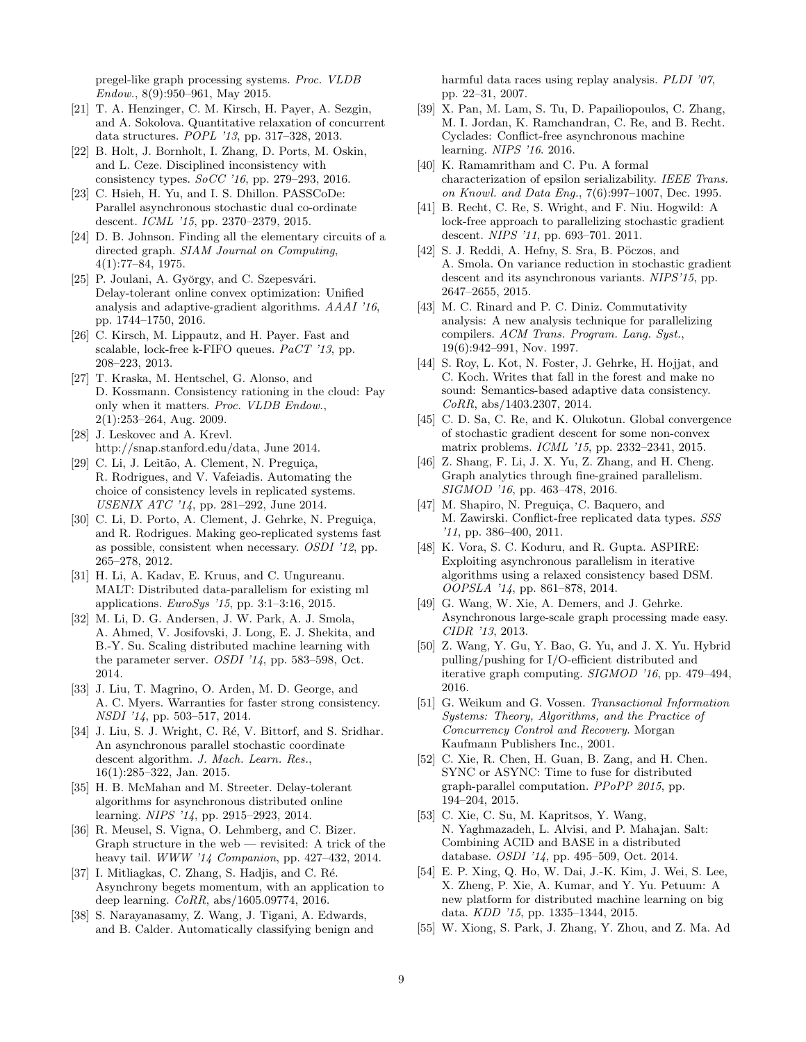pregel-like graph processing systems. Proc. VLDB Endow., 8(9):950–961, May 2015.

- [21] T. A. Henzinger, C. M. Kirsch, H. Payer, A. Sezgin, and A. Sokolova. Quantitative relaxation of concurrent data structures. POPL '13, pp. 317–328, 2013.
- [22] B. Holt, J. Bornholt, I. Zhang, D. Ports, M. Oskin, and L. Ceze. Disciplined inconsistency with consistency types. SoCC '16, pp. 279–293, 2016.
- [23] C. Hsieh, H. Yu, and I. S. Dhillon. PASSCoDe: Parallel asynchronous stochastic dual co-ordinate descent. ICML '15, pp. 2370–2379, 2015.
- [24] D. B. Johnson. Finding all the elementary circuits of a directed graph. SIAM Journal on Computing, 4(1):77–84, 1975.
- [25] P. Joulani, A. György, and C. Szepesvári. Delay-tolerant online convex optimization: Unified analysis and adaptive-gradient algorithms. AAAI '16, pp. 1744–1750, 2016.
- [26] C. Kirsch, M. Lippautz, and H. Payer. Fast and scalable, lock-free k-FIFO queues. PaCT '13, pp. 208–223, 2013.
- [27] T. Kraska, M. Hentschel, G. Alonso, and D. Kossmann. Consistency rationing in the cloud: Pay only when it matters. Proc. VLDB Endow., 2(1):253–264, Aug. 2009.
- [28] J. Leskovec and A. Krevl. http://snap.stanford.edu/data, June 2014.
- [29] C. Li, J. Leitão, A. Clement, N. Preguiça, R. Rodrigues, and V. Vafeiadis. Automating the choice of consistency levels in replicated systems. USENIX ATC '14, pp. 281–292, June 2014.
- [30] C. Li, D. Porto, A. Clement, J. Gehrke, N. Preguiça, and R. Rodrigues. Making geo-replicated systems fast as possible, consistent when necessary. OSDI '12, pp. 265–278, 2012.
- [31] H. Li, A. Kadav, E. Kruus, and C. Ungureanu. MALT: Distributed data-parallelism for existing ml applications. EuroSys '15, pp. 3:1–3:16, 2015.
- [32] M. Li, D. G. Andersen, J. W. Park, A. J. Smola, A. Ahmed, V. Josifovski, J. Long, E. J. Shekita, and B.-Y. Su. Scaling distributed machine learning with the parameter server. OSDI '14, pp. 583–598, Oct. 2014.
- [33] J. Liu, T. Magrino, O. Arden, M. D. George, and A. C. Myers. Warranties for faster strong consistency. NSDI '14, pp. 503–517, 2014.
- [34] J. Liu, S. J. Wright, C. Ré, V. Bittorf, and S. Sridhar. An asynchronous parallel stochastic coordinate descent algorithm. J. Mach. Learn. Res., 16(1):285–322, Jan. 2015.
- [35] H. B. McMahan and M. Streeter. Delay-tolerant algorithms for asynchronous distributed online learning. NIPS '14, pp. 2915–2923, 2014.
- [36] R. Meusel, S. Vigna, O. Lehmberg, and C. Bizer. Graph structure in the web — revisited: A trick of the heavy tail. WWW '14 Companion, pp. 427–432, 2014.
- [37] I. Mitliagkas, C. Zhang, S. Hadjis, and C. Ré. Asynchrony begets momentum, with an application to deep learning. CoRR, abs/1605.09774, 2016.
- [38] S. Narayanasamy, Z. Wang, J. Tigani, A. Edwards, and B. Calder. Automatically classifying benign and

harmful data races using replay analysis. PLDI '07, pp. 22–31, 2007.

- [39] X. Pan, M. Lam, S. Tu, D. Papailiopoulos, C. Zhang, M. I. Jordan, K. Ramchandran, C. Re, and B. Recht. Cyclades: Conflict-free asynchronous machine learning. NIPS '16. 2016.
- [40] K. Ramamritham and C. Pu. A formal characterization of epsilon serializability. IEEE Trans. on Knowl. and Data Eng., 7(6):997–1007, Dec. 1995.
- [41] B. Recht, C. Re, S. Wright, and F. Niu. Hogwild: A lock-free approach to parallelizing stochastic gradient descent. NIPS '11, pp. 693–701. 2011.
- $[42]$  S. J. Reddi, A. Hefny, S. Sra, B. Pöczos, and A. Smola. On variance reduction in stochastic gradient descent and its asynchronous variants. NIPS'15, pp. 2647–2655, 2015.
- [43] M. C. Rinard and P. C. Diniz. Commutativity analysis: A new analysis technique for parallelizing compilers. ACM Trans. Program. Lang. Syst., 19(6):942–991, Nov. 1997.
- [44] S. Roy, L. Kot, N. Foster, J. Gehrke, H. Hojjat, and C. Koch. Writes that fall in the forest and make no sound: Semantics-based adaptive data consistency. CoRR, abs/1403.2307, 2014.
- [45] C. D. Sa, C. Re, and K. Olukotun. Global convergence of stochastic gradient descent for some non-convex matrix problems. ICML '15, pp. 2332–2341, 2015.
- [46] Z. Shang, F. Li, J. X. Yu, Z. Zhang, and H. Cheng. Graph analytics through fine-grained parallelism. SIGMOD '16, pp. 463–478, 2016.
- [47] M. Shapiro, N. Preguiça, C. Baquero, and M. Zawirski. Conflict-free replicated data types. SSS '11, pp. 386–400, 2011.
- [48] K. Vora, S. C. Koduru, and R. Gupta. ASPIRE: Exploiting asynchronous parallelism in iterative algorithms using a relaxed consistency based DSM. OOPSLA '14, pp. 861–878, 2014.
- [49] G. Wang, W. Xie, A. Demers, and J. Gehrke. Asynchronous large-scale graph processing made easy. CIDR '13, 2013.
- [50] Z. Wang, Y. Gu, Y. Bao, G. Yu, and J. X. Yu. Hybrid pulling/pushing for I/O-efficient distributed and iterative graph computing. SIGMOD '16, pp. 479–494, 2016.
- [51] G. Weikum and G. Vossen. Transactional Information Systems: Theory, Algorithms, and the Practice of Concurrency Control and Recovery. Morgan Kaufmann Publishers Inc., 2001.
- [52] C. Xie, R. Chen, H. Guan, B. Zang, and H. Chen. SYNC or ASYNC: Time to fuse for distributed graph-parallel computation. PPoPP 2015, pp. 194–204, 2015.
- [53] C. Xie, C. Su, M. Kapritsos, Y. Wang, N. Yaghmazadeh, L. Alvisi, and P. Mahajan. Salt: Combining ACID and BASE in a distributed database. OSDI '14, pp. 495–509, Oct. 2014.
- [54] E. P. Xing, Q. Ho, W. Dai, J.-K. Kim, J. Wei, S. Lee, X. Zheng, P. Xie, A. Kumar, and Y. Yu. Petuum: A new platform for distributed machine learning on big data. KDD '15, pp. 1335–1344, 2015.
- [55] W. Xiong, S. Park, J. Zhang, Y. Zhou, and Z. Ma. Ad